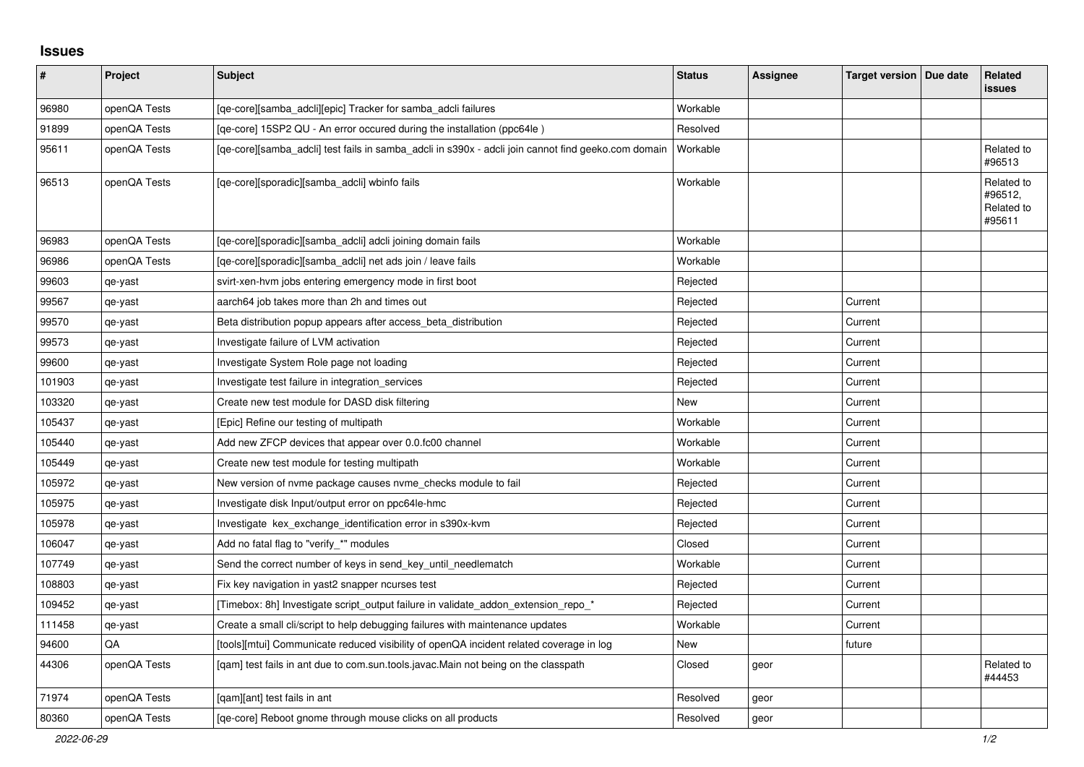## **Issues**

| $\sharp$ | Project      | <b>Subject</b>                                                                                      | <b>Status</b> | <b>Assignee</b> | Target version   Due date | Related<br><b>issues</b>                      |
|----------|--------------|-----------------------------------------------------------------------------------------------------|---------------|-----------------|---------------------------|-----------------------------------------------|
| 96980    | openQA Tests | [qe-core][samba_adcli][epic] Tracker for samba_adcli failures                                       | Workable      |                 |                           |                                               |
| 91899    | openQA Tests | [ge-core] 15SP2 QU - An error occured during the installation (ppc64le)                             | Resolved      |                 |                           |                                               |
| 95611    | openQA Tests | [ge-core][samba adcli] test fails in samba adcli in s390x - adcli join cannot find geeko.com domain | Workable      |                 |                           | Related to<br>#96513                          |
| 96513    | openQA Tests | [qe-core][sporadic][samba adcli] wbinfo fails                                                       | Workable      |                 |                           | Related to<br>#96512,<br>Related to<br>#95611 |
| 96983    | openQA Tests | [qe-core][sporadic][samba_adcli] adcli joining domain fails                                         | Workable      |                 |                           |                                               |
| 96986    | openQA Tests | [ge-core][sporadic][samba adcli] net ads join / leave fails                                         | Workable      |                 |                           |                                               |
| 99603    | qe-yast      | svirt-xen-hvm jobs entering emergency mode in first boot                                            | Rejected      |                 |                           |                                               |
| 99567    | qe-yast      | aarch64 job takes more than 2h and times out                                                        | Rejected      |                 | Current                   |                                               |
| 99570    | qe-yast      | Beta distribution popup appears after access beta distribution                                      | Rejected      |                 | Current                   |                                               |
| 99573    | qe-yast      | Investigate failure of LVM activation                                                               | Rejected      |                 | Current                   |                                               |
| 99600    | qe-yast      | Investigate System Role page not loading                                                            | Rejected      |                 | Current                   |                                               |
| 101903   | qe-yast      | Investigate test failure in integration_services                                                    | Rejected      |                 | Current                   |                                               |
| 103320   | qe-yast      | Create new test module for DASD disk filtering                                                      | New           |                 | Current                   |                                               |
| 105437   | qe-yast      | [Epic] Refine our testing of multipath                                                              | Workable      |                 | Current                   |                                               |
| 105440   | qe-yast      | Add new ZFCP devices that appear over 0.0.fc00 channel                                              | Workable      |                 | Current                   |                                               |
| 105449   | qe-yast      | Create new test module for testing multipath                                                        | Workable      |                 | Current                   |                                               |
| 105972   | qe-yast      | New version of nyme package causes nyme checks module to fail                                       | Rejected      |                 | Current                   |                                               |
| 105975   | qe-yast      | Investigate disk Input/output error on ppc64le-hmc                                                  | Rejected      |                 | Current                   |                                               |
| 105978   | qe-yast      | Investigate kex exchange identification error in s390x-kvm                                          | Rejected      |                 | Current                   |                                               |
| 106047   | qe-yast      | Add no fatal flag to "verify_*" modules                                                             | Closed        |                 | Current                   |                                               |
| 107749   | qe-yast      | Send the correct number of keys in send key until needlematch                                       | Workable      |                 | Current                   |                                               |
| 108803   | qe-yast      | Fix key navigation in yast2 snapper ncurses test                                                    | Rejected      |                 | Current                   |                                               |
| 109452   | qe-yast      | [Timebox: 8h] Investigate script_output failure in validate_addon_extension_repo_*                  | Rejected      |                 | Current                   |                                               |
| 111458   | qe-yast      | Create a small cli/script to help debugging failures with maintenance updates                       | Workable      |                 | Current                   |                                               |
| 94600    | <b>OA</b>    | [tools][mtui] Communicate reduced visibility of openQA incident related coverage in log             | New           |                 | future                    |                                               |
| 44306    | openQA Tests | [gam] test fails in ant due to com.sun.tools.javac.Main not being on the classpath                  | Closed        | geor            |                           | Related to<br>#44453                          |
| 71974    | openQA Tests | [qam][ant] test fails in ant                                                                        | Resolved      | geor            |                           |                                               |
| 80360    | openQA Tests | [ge-core] Reboot gnome through mouse clicks on all products                                         | Resolved      | geor            |                           |                                               |